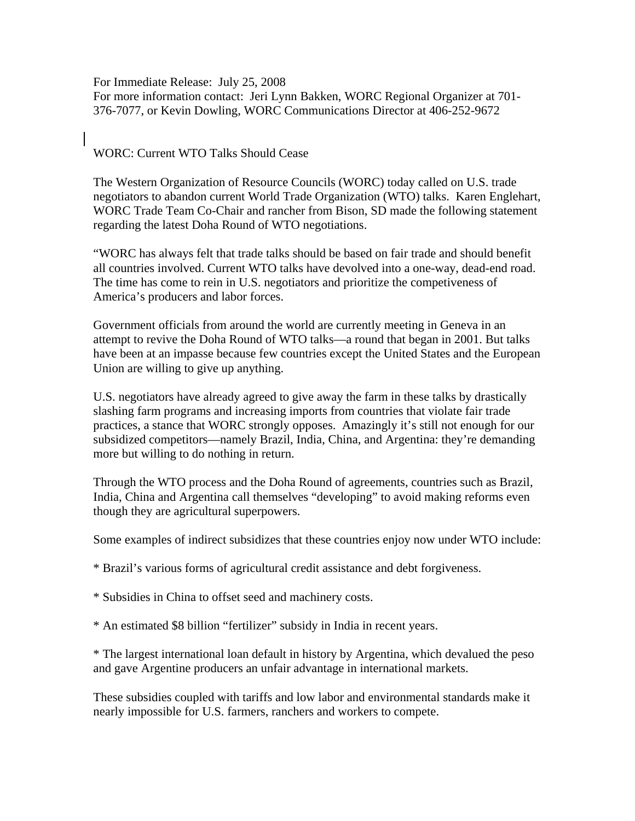For Immediate Release: July 25, 2008 For more information contact: Jeri Lynn Bakken, WORC Regional Organizer at 701- 376-7077, or Kevin Dowling, WORC Communications Director at 406-252-9672

## WORC: Current WTO Talks Should Cease

The Western Organization of Resource Councils (WORC) today called on U.S. trade negotiators to abandon current World Trade Organization (WTO) talks. Karen Englehart, WORC Trade Team Co-Chair and rancher from Bison, SD made the following statement regarding the latest Doha Round of WTO negotiations.

"WORC has always felt that trade talks should be based on fair trade and should benefit all countries involved. Current WTO talks have devolved into a one-way, dead-end road. The time has come to rein in U.S. negotiators and prioritize the competiveness of America's producers and labor forces.

Government officials from around the world are currently meeting in Geneva in an attempt to revive the Doha Round of WTO talks—a round that began in 2001. But talks have been at an impasse because few countries except the United States and the European Union are willing to give up anything.

U.S. negotiators have already agreed to give away the farm in these talks by drastically slashing farm programs and increasing imports from countries that violate fair trade practices, a stance that WORC strongly opposes. Amazingly it's still not enough for our subsidized competitors—namely Brazil, India, China, and Argentina: they're demanding more but willing to do nothing in return.

Through the WTO process and the Doha Round of agreements, countries such as Brazil, India, China and Argentina call themselves "developing" to avoid making reforms even though they are agricultural superpowers.

Some examples of indirect subsidizes that these countries enjoy now under WTO include:

\* Brazil's various forms of agricultural credit assistance and debt forgiveness.

\* Subsidies in China to offset seed and machinery costs.

\* An estimated \$8 billion "fertilizer" subsidy in India in recent years.

\* The largest international loan default in history by Argentina, which devalued the peso and gave Argentine producers an unfair advantage in international markets.

These subsidies coupled with tariffs and low labor and environmental standards make it nearly impossible for U.S. farmers, ranchers and workers to compete.